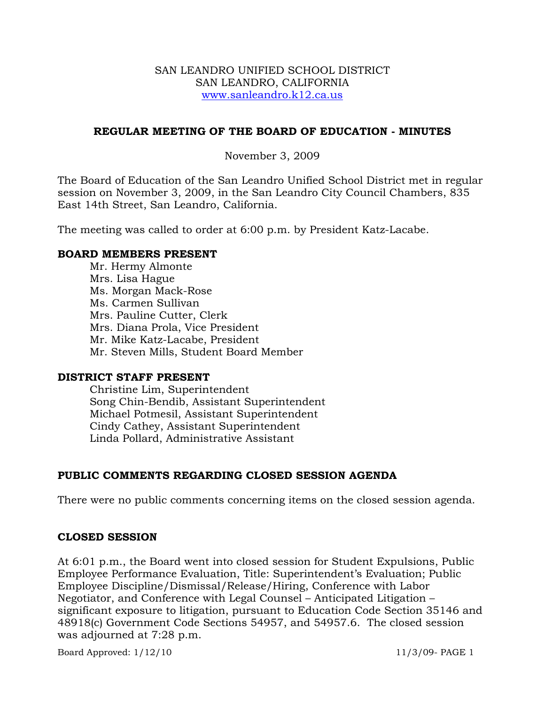### SAN LEANDRO UNIFIED SCHOOL DISTRICT SAN LEANDRO, CALIFORNIA www.sanleandro.k12.ca.us

## **REGULAR MEETING OF THE BOARD OF EDUCATION - MINUTES**

November 3, 2009

The Board of Education of the San Leandro Unified School District met in regular session on November 3, 2009, in the San Leandro City Council Chambers, 835 East 14th Street, San Leandro, California.

The meeting was called to order at 6:00 p.m. by President Katz-Lacabe.

### **BOARD MEMBERS PRESENT**

Mr. Hermy Almonte Mrs. Lisa Hague Ms. Morgan Mack-Rose Ms. Carmen Sullivan Mrs. Pauline Cutter, Clerk Mrs. Diana Prola, Vice President Mr. Mike Katz-Lacabe, President Mr. Steven Mills, Student Board Member

### **DISTRICT STAFF PRESENT**

Christine Lim, Superintendent Song Chin-Bendib, Assistant Superintendent Michael Potmesil, Assistant Superintendent Cindy Cathey, Assistant Superintendent Linda Pollard, Administrative Assistant

# **PUBLIC COMMENTS REGARDING CLOSED SESSION AGENDA**

There were no public comments concerning items on the closed session agenda.

### **CLOSED SESSION**

At 6:01 p.m., the Board went into closed session for Student Expulsions, Public Employee Performance Evaluation, Title: Superintendent's Evaluation; Public Employee Discipline/Dismissal/Release/Hiring, Conference with Labor Negotiator, and Conference with Legal Counsel – Anticipated Litigation – significant exposure to litigation, pursuant to Education Code Section 35146 and 48918(c) Government Code Sections 54957, and 54957.6. The closed session was adjourned at 7:28 p.m.

Board Approved: 1/12/10 11/3/09- PAGE 1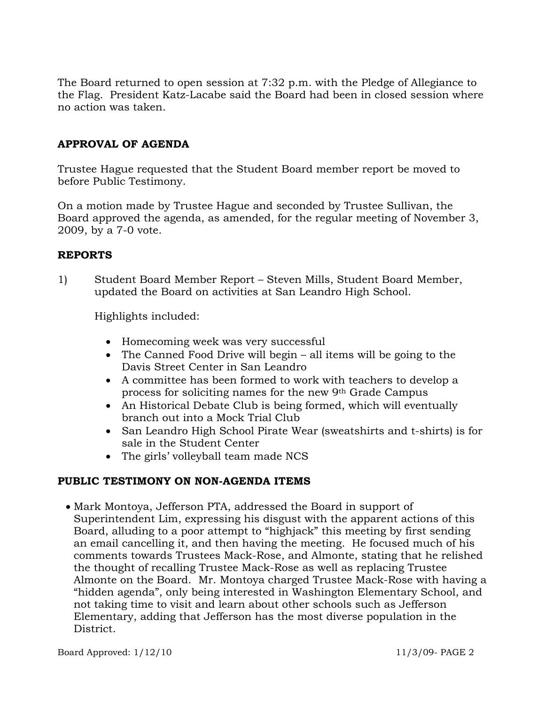The Board returned to open session at 7:32 p.m. with the Pledge of Allegiance to the Flag. President Katz-Lacabe said the Board had been in closed session where no action was taken.

# **APPROVAL OF AGENDA**

Trustee Hague requested that the Student Board member report be moved to before Public Testimony.

On a motion made by Trustee Hague and seconded by Trustee Sullivan, the Board approved the agenda, as amended, for the regular meeting of November 3, 2009, by a 7-0 vote.

## **REPORTS**

1) Student Board Member Report – Steven Mills, Student Board Member, updated the Board on activities at San Leandro High School.

Highlights included:

- Homecoming week was very successful
- The Canned Food Drive will begin all items will be going to the Davis Street Center in San Leandro
- A committee has been formed to work with teachers to develop a process for soliciting names for the new 9th Grade Campus
- An Historical Debate Club is being formed, which will eventually branch out into a Mock Trial Club
- San Leandro High School Pirate Wear (sweatshirts and t-shirts) is for sale in the Student Center
- The girls' volleyball team made NCS

# **PUBLIC TESTIMONY ON NON-AGENDA ITEMS**

• Mark Montoya, Jefferson PTA, addressed the Board in support of Superintendent Lim, expressing his disgust with the apparent actions of this Board, alluding to a poor attempt to "highjack" this meeting by first sending an email cancelling it, and then having the meeting. He focused much of his comments towards Trustees Mack-Rose, and Almonte, stating that he relished the thought of recalling Trustee Mack-Rose as well as replacing Trustee Almonte on the Board. Mr. Montoya charged Trustee Mack-Rose with having a "hidden agenda", only being interested in Washington Elementary School, and not taking time to visit and learn about other schools such as Jefferson Elementary, adding that Jefferson has the most diverse population in the District.

Board Approved: 1/12/10 11/3/09- PAGE 2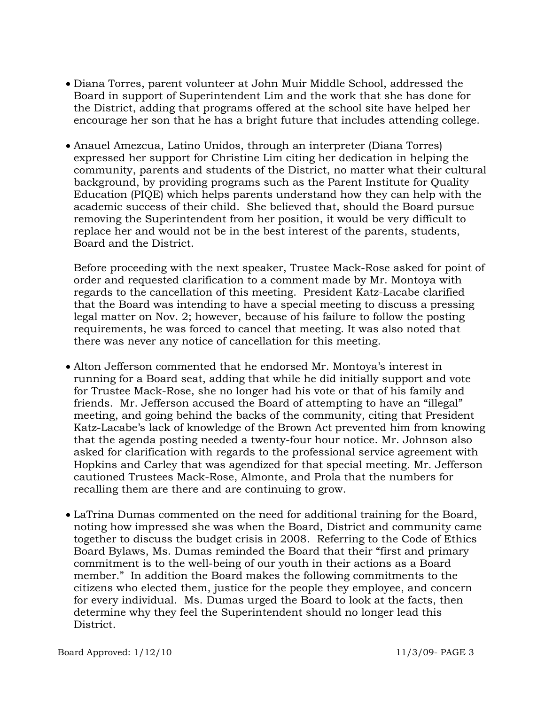- Diana Torres, parent volunteer at John Muir Middle School, addressed the Board in support of Superintendent Lim and the work that she has done for the District, adding that programs offered at the school site have helped her encourage her son that he has a bright future that includes attending college.
- Anauel Amezcua, Latino Unidos, through an interpreter (Diana Torres) expressed her support for Christine Lim citing her dedication in helping the community, parents and students of the District, no matter what their cultural background, by providing programs such as the Parent Institute for Quality Education (PIQE) which helps parents understand how they can help with the academic success of their child. She believed that, should the Board pursue removing the Superintendent from her position, it would be very difficult to replace her and would not be in the best interest of the parents, students, Board and the District.

Before proceeding with the next speaker, Trustee Mack-Rose asked for point of order and requested clarification to a comment made by Mr. Montoya with regards to the cancellation of this meeting. President Katz-Lacabe clarified that the Board was intending to have a special meeting to discuss a pressing legal matter on Nov. 2; however, because of his failure to follow the posting requirements, he was forced to cancel that meeting. It was also noted that there was never any notice of cancellation for this meeting.

- Alton Jefferson commented that he endorsed Mr. Montoya's interest in running for a Board seat, adding that while he did initially support and vote for Trustee Mack-Rose, she no longer had his vote or that of his family and friends. Mr. Jefferson accused the Board of attempting to have an "illegal" meeting, and going behind the backs of the community, citing that President Katz-Lacabe's lack of knowledge of the Brown Act prevented him from knowing that the agenda posting needed a twenty-four hour notice. Mr. Johnson also asked for clarification with regards to the professional service agreement with Hopkins and Carley that was agendized for that special meeting. Mr. Jefferson cautioned Trustees Mack-Rose, Almonte, and Prola that the numbers for recalling them are there and are continuing to grow.
- LaTrina Dumas commented on the need for additional training for the Board, noting how impressed she was when the Board, District and community came together to discuss the budget crisis in 2008. Referring to the Code of Ethics Board Bylaws, Ms. Dumas reminded the Board that their "first and primary commitment is to the well-being of our youth in their actions as a Board member." In addition the Board makes the following commitments to the citizens who elected them, justice for the people they employee, and concern for every individual. Ms. Dumas urged the Board to look at the facts, then determine why they feel the Superintendent should no longer lead this District.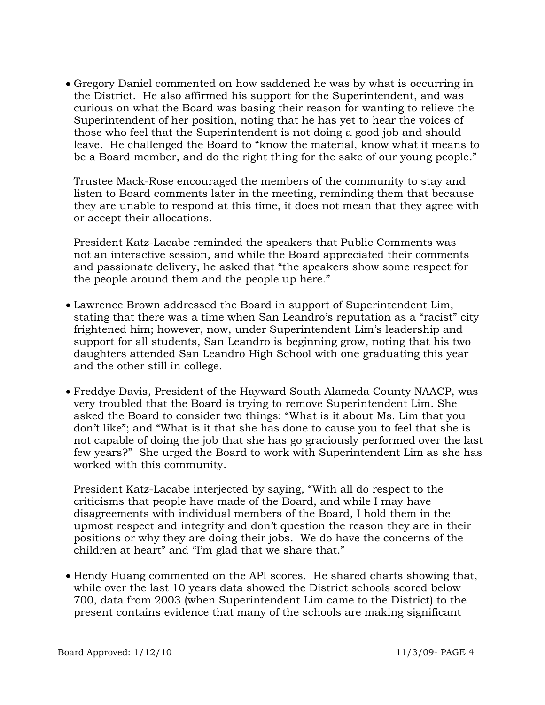• Gregory Daniel commented on how saddened he was by what is occurring in the District. He also affirmed his support for the Superintendent, and was curious on what the Board was basing their reason for wanting to relieve the Superintendent of her position, noting that he has yet to hear the voices of those who feel that the Superintendent is not doing a good job and should leave. He challenged the Board to "know the material, know what it means to be a Board member, and do the right thing for the sake of our young people."

Trustee Mack-Rose encouraged the members of the community to stay and listen to Board comments later in the meeting, reminding them that because they are unable to respond at this time, it does not mean that they agree with or accept their allocations.

 President Katz-Lacabe reminded the speakers that Public Comments was not an interactive session, and while the Board appreciated their comments and passionate delivery, he asked that "the speakers show some respect for the people around them and the people up here."

- Lawrence Brown addressed the Board in support of Superintendent Lim, stating that there was a time when San Leandro's reputation as a "racist" city frightened him; however, now, under Superintendent Lim's leadership and support for all students, San Leandro is beginning grow, noting that his two daughters attended San Leandro High School with one graduating this year and the other still in college.
- Freddye Davis, President of the Hayward South Alameda County NAACP, was very troubled that the Board is trying to remove Superintendent Lim. She asked the Board to consider two things: "What is it about Ms. Lim that you don't like"; and "What is it that she has done to cause you to feel that she is not capable of doing the job that she has go graciously performed over the last few years?" She urged the Board to work with Superintendent Lim as she has worked with this community.

President Katz-Lacabe interjected by saying, "With all do respect to the criticisms that people have made of the Board, and while I may have disagreements with individual members of the Board, I hold them in the upmost respect and integrity and don't question the reason they are in their positions or why they are doing their jobs. We do have the concerns of the children at heart" and "I'm glad that we share that."

• Hendy Huang commented on the API scores. He shared charts showing that, while over the last 10 years data showed the District schools scored below 700, data from 2003 (when Superintendent Lim came to the District) to the present contains evidence that many of the schools are making significant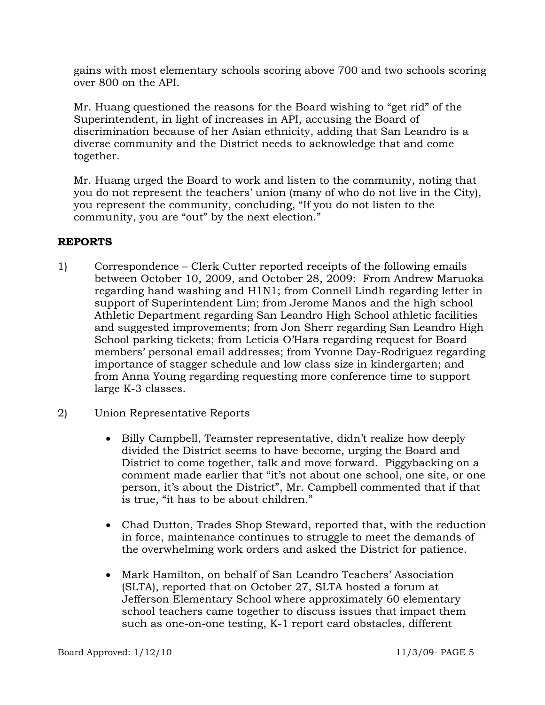gains with most elementary schools scoring above 700 and two schools scoring over 800 on the API.

Mr. Huang questioned the reasons for the Board wishing to "get rid" of the Superintendent, in light of increases in API, accusing the Board of discrimination because of her Asian ethnicity, adding that San Leandro is a diverse community and the District needs to acknowledge that and come together.

Mr. Huang urged the Board to work and listen to the community, noting that you do not represent the teachers' union (many of who do not live in the City), you represent the community, concluding, "If you do not listen to the community, you are "out" by the next election."

# **REPORTS**

- 1) Correspondence Clerk Cutter reported receipts of the following emails between October 10, 2009, and October 28, 2009: From Andrew Maruoka regarding hand washing and H1N1; from Connell Lindh regarding letter in support of Superintendent Lim; from Jerome Manos and the high school Athletic Department regarding San Leandro High School athletic facilities and suggested improvements; from Jon Sherr regarding San Leandro High School parking tickets; from Leticia O'Hara regarding request for Board members' personal email addresses; from Yvonne Day-Rodriguez regarding importance of stagger schedule and low class size in kindergarten; and from Anna Young regarding requesting more conference time to support large K-3 classes.
- 2) Union Representative Reports
	- Billy Campbell, Teamster representative, didn't realize how deeply divided the District seems to have become, urging the Board and District to come together, talk and move forward. Piggybacking on a comment made earlier that "it's not about one school, one site, or one person, it's about the District", Mr. Campbell commented that if that is true, "it has to be about children."
	- Chad Dutton, Trades Shop Steward, reported that, with the reduction in force, maintenance continues to struggle to meet the demands of the overwhelming work orders and asked the District for patience.
	- Mark Hamilton, on behalf of San Leandro Teachers' Association (SLTA), reported that on October 27, SLTA hosted a forum at Jefferson Elementary School where approximately 60 elementary school teachers came together to discuss issues that impact them such as one-on-one testing, K-1 report card obstacles, different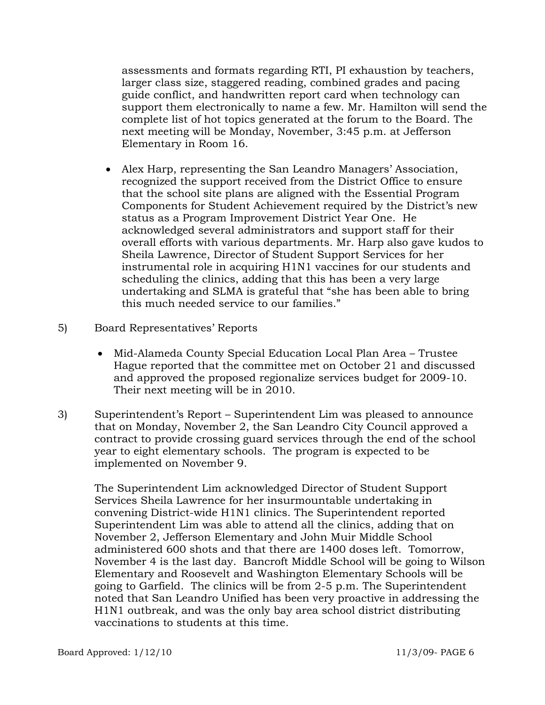assessments and formats regarding RTI, PI exhaustion by teachers, larger class size, staggered reading, combined grades and pacing guide conflict, and handwritten report card when technology can support them electronically to name a few. Mr. Hamilton will send the complete list of hot topics generated at the forum to the Board. The next meeting will be Monday, November, 3:45 p.m. at Jefferson Elementary in Room 16.

- Alex Harp, representing the San Leandro Managers' Association, recognized the support received from the District Office to ensure that the school site plans are aligned with the Essential Program Components for Student Achievement required by the District's new status as a Program Improvement District Year One. He acknowledged several administrators and support staff for their overall efforts with various departments. Mr. Harp also gave kudos to Sheila Lawrence, Director of Student Support Services for her instrumental role in acquiring H1N1 vaccines for our students and scheduling the clinics, adding that this has been a very large undertaking and SLMA is grateful that "she has been able to bring this much needed service to our families."
- 5) Board Representatives' Reports
	- Mid-Alameda County Special Education Local Plan Area Trustee Hague reported that the committee met on October 21 and discussed and approved the proposed regionalize services budget for 2009-10. Their next meeting will be in 2010.
- 3) Superintendent's Report Superintendent Lim was pleased to announce that on Monday, November 2, the San Leandro City Council approved a contract to provide crossing guard services through the end of the school year to eight elementary schools. The program is expected to be implemented on November 9.

The Superintendent Lim acknowledged Director of Student Support Services Sheila Lawrence for her insurmountable undertaking in convening District-wide H1N1 clinics. The Superintendent reported Superintendent Lim was able to attend all the clinics, adding that on November 2, Jefferson Elementary and John Muir Middle School administered 600 shots and that there are 1400 doses left. Tomorrow, November 4 is the last day. Bancroft Middle School will be going to Wilson Elementary and Roosevelt and Washington Elementary Schools will be going to Garfield. The clinics will be from 2-5 p.m. The Superintendent noted that San Leandro Unified has been very proactive in addressing the H1N1 outbreak, and was the only bay area school district distributing vaccinations to students at this time.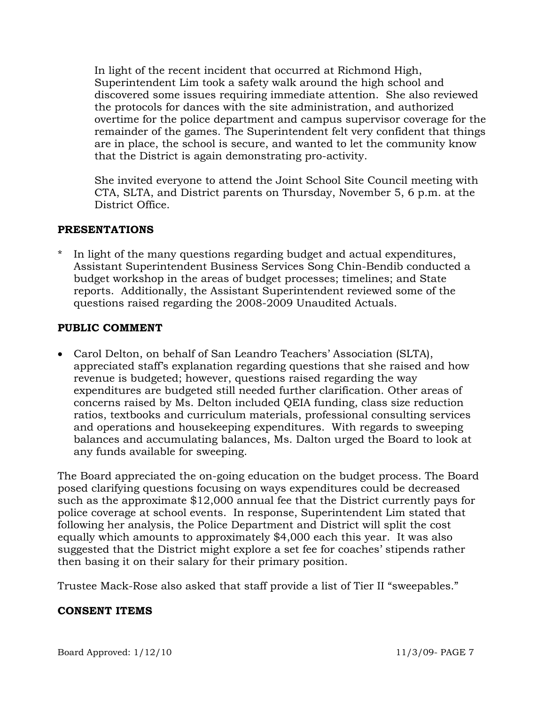In light of the recent incident that occurred at Richmond High, Superintendent Lim took a safety walk around the high school and discovered some issues requiring immediate attention. She also reviewed the protocols for dances with the site administration, and authorized overtime for the police department and campus supervisor coverage for the remainder of the games. The Superintendent felt very confident that things are in place, the school is secure, and wanted to let the community know that the District is again demonstrating pro-activity.

She invited everyone to attend the Joint School Site Council meeting with CTA, SLTA, and District parents on Thursday, November 5, 6 p.m. at the District Office.

## **PRESENTATIONS**

In light of the many questions regarding budget and actual expenditures, Assistant Superintendent Business Services Song Chin-Bendib conducted a budget workshop in the areas of budget processes; timelines; and State reports. Additionally, the Assistant Superintendent reviewed some of the questions raised regarding the 2008-2009 Unaudited Actuals.

# **PUBLIC COMMENT**

• Carol Delton, on behalf of San Leandro Teachers' Association (SLTA), appreciated staff's explanation regarding questions that she raised and how revenue is budgeted; however, questions raised regarding the way expenditures are budgeted still needed further clarification. Other areas of concerns raised by Ms. Delton included QEIA funding, class size reduction ratios, textbooks and curriculum materials, professional consulting services and operations and housekeeping expenditures. With regards to sweeping balances and accumulating balances, Ms. Dalton urged the Board to look at any funds available for sweeping.

The Board appreciated the on-going education on the budget process. The Board posed clarifying questions focusing on ways expenditures could be decreased such as the approximate \$12,000 annual fee that the District currently pays for police coverage at school events. In response, Superintendent Lim stated that following her analysis, the Police Department and District will split the cost equally which amounts to approximately \$4,000 each this year. It was also suggested that the District might explore a set fee for coaches' stipends rather then basing it on their salary for their primary position.

Trustee Mack-Rose also asked that staff provide a list of Tier II "sweepables."

### **CONSENT ITEMS**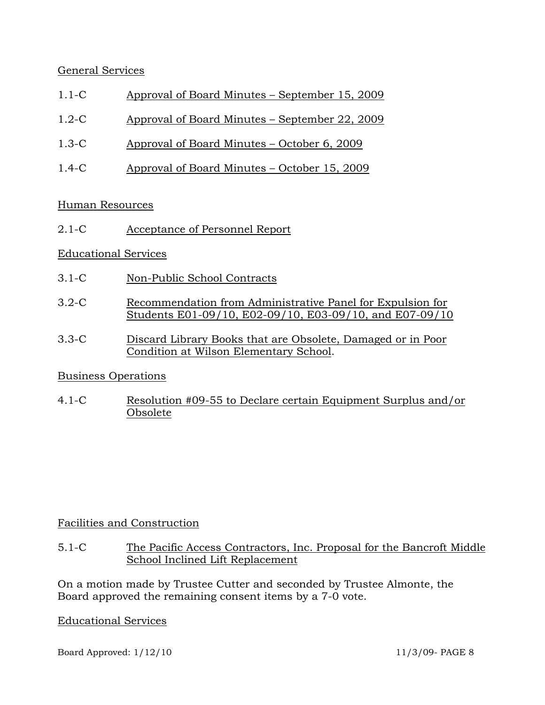# General Services

- 1.1-C Approval of Board Minutes September 15, 2009
- 1.2-C Approval of Board Minutes September 22, 2009
- 1.3-C Approval of Board Minutes October 6, 2009
- 1.4-C Approval of Board Minutes October 15, 2009

## Human Resources

2.1-C Acceptance of Personnel Report

## Educational Services

- 3.1-C Non-Public School Contracts
- 3.2-C Recommendation from Administrative Panel for Expulsion for Students E01-09/10, E02-09/10, E03-09/10, and E07-09/10
- 3.3-C Discard Library Books that are Obsolete, Damaged or in Poor Condition at Wilson Elementary School.

# Business Operations

4.1-C Resolution #09-55 to Declare certain Equipment Surplus and/or Obsolete

# Facilities and Construction

5.1-C The Pacific Access Contractors, Inc. Proposal for the Bancroft Middle School Inclined Lift Replacement

On a motion made by Trustee Cutter and seconded by Trustee Almonte, the Board approved the remaining consent items by a 7-0 vote.

### Educational Services

Board Approved: 1/12/10 11/3/09- PAGE 8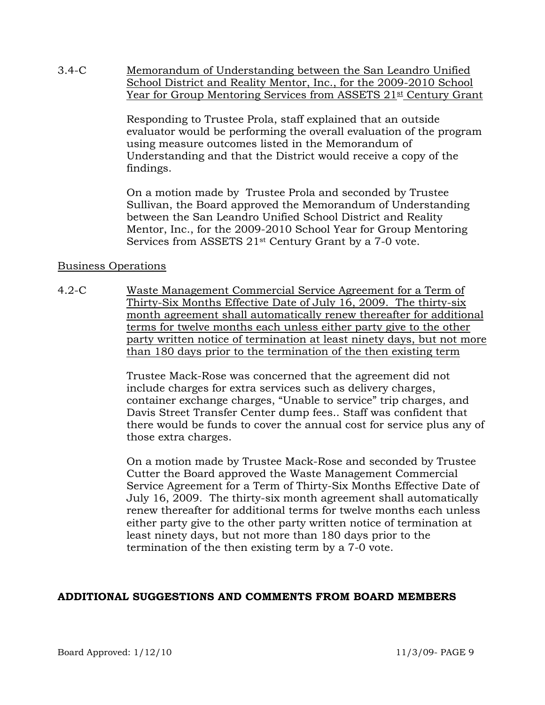3.4-C Memorandum of Understanding between the San Leandro Unified School District and Reality Mentor, Inc., for the 2009-2010 School Year for Group Mentoring Services from ASSETS 21<sup>st</sup> Century Grant

> Responding to Trustee Prola, staff explained that an outside evaluator would be performing the overall evaluation of the program using measure outcomes listed in the Memorandum of Understanding and that the District would receive a copy of the findings.

On a motion made by Trustee Prola and seconded by Trustee Sullivan, the Board approved the Memorandum of Understanding between the San Leandro Unified School District and Reality Mentor, Inc., for the 2009-2010 School Year for Group Mentoring Services from ASSETS 21st Century Grant by a 7-0 vote.

## Business Operations

4.2-C Waste Management Commercial Service Agreement for a Term of Thirty-Six Months Effective Date of July 16, 2009. The thirty-six month agreement shall automatically renew thereafter for additional terms for twelve months each unless either party give to the other party written notice of termination at least ninety days, but not more than 180 days prior to the termination of the then existing term

> Trustee Mack-Rose was concerned that the agreement did not include charges for extra services such as delivery charges, container exchange charges, "Unable to service" trip charges, and Davis Street Transfer Center dump fees.. Staff was confident that there would be funds to cover the annual cost for service plus any of those extra charges.

On a motion made by Trustee Mack-Rose and seconded by Trustee Cutter the Board approved the Waste Management Commercial Service Agreement for a Term of Thirty-Six Months Effective Date of July 16, 2009. The thirty-six month agreement shall automatically renew thereafter for additional terms for twelve months each unless either party give to the other party written notice of termination at least ninety days, but not more than 180 days prior to the termination of the then existing term by a 7-0 vote.

# **ADDITIONAL SUGGESTIONS AND COMMENTS FROM BOARD MEMBERS**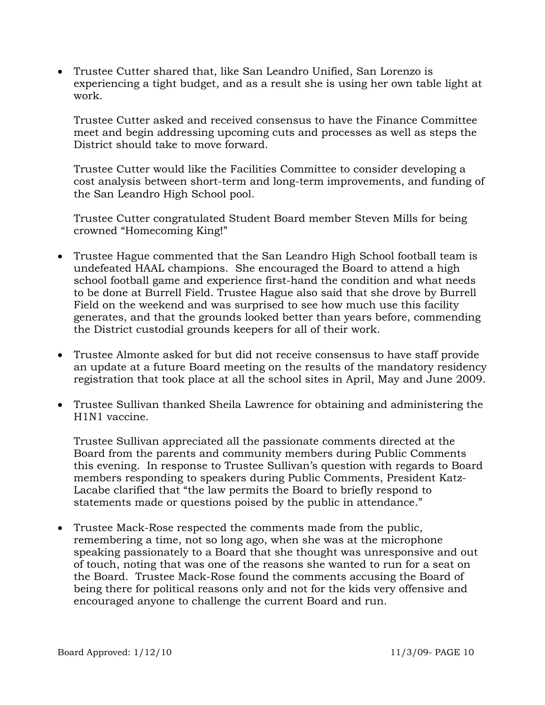• Trustee Cutter shared that, like San Leandro Unified, San Lorenzo is experiencing a tight budget, and as a result she is using her own table light at work.

Trustee Cutter asked and received consensus to have the Finance Committee meet and begin addressing upcoming cuts and processes as well as steps the District should take to move forward.

Trustee Cutter would like the Facilities Committee to consider developing a cost analysis between short-term and long-term improvements, and funding of the San Leandro High School pool.

 Trustee Cutter congratulated Student Board member Steven Mills for being crowned "Homecoming King!"

- Trustee Hague commented that the San Leandro High School football team is undefeated HAAL champions. She encouraged the Board to attend a high school football game and experience first-hand the condition and what needs to be done at Burrell Field. Trustee Hague also said that she drove by Burrell Field on the weekend and was surprised to see how much use this facility generates, and that the grounds looked better than years before, commending the District custodial grounds keepers for all of their work.
- Trustee Almonte asked for but did not receive consensus to have staff provide an update at a future Board meeting on the results of the mandatory residency registration that took place at all the school sites in April, May and June 2009.
- Trustee Sullivan thanked Sheila Lawrence for obtaining and administering the H1N1 vaccine.

Trustee Sullivan appreciated all the passionate comments directed at the Board from the parents and community members during Public Comments this evening. In response to Trustee Sullivan's question with regards to Board members responding to speakers during Public Comments, President Katz-Lacabe clarified that "the law permits the Board to briefly respond to statements made or questions poised by the public in attendance."

• Trustee Mack-Rose respected the comments made from the public, remembering a time, not so long ago, when she was at the microphone speaking passionately to a Board that she thought was unresponsive and out of touch, noting that was one of the reasons she wanted to run for a seat on the Board. Trustee Mack-Rose found the comments accusing the Board of being there for political reasons only and not for the kids very offensive and encouraged anyone to challenge the current Board and run.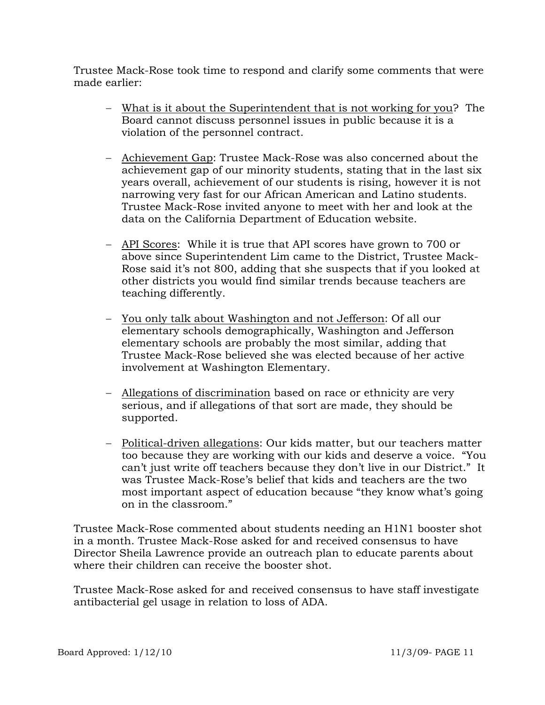Trustee Mack-Rose took time to respond and clarify some comments that were made earlier:

- − What is it about the Superintendent that is not working for you? The Board cannot discuss personnel issues in public because it is a violation of the personnel contract.
- − Achievement Gap: Trustee Mack-Rose was also concerned about the achievement gap of our minority students, stating that in the last six years overall, achievement of our students is rising, however it is not narrowing very fast for our African American and Latino students. Trustee Mack-Rose invited anyone to meet with her and look at the data on the California Department of Education website.
- − API Scores: While it is true that API scores have grown to 700 or above since Superintendent Lim came to the District, Trustee Mack-Rose said it's not 800, adding that she suspects that if you looked at other districts you would find similar trends because teachers are teaching differently.
- − You only talk about Washington and not Jefferson: Of all our elementary schools demographically, Washington and Jefferson elementary schools are probably the most similar, adding that Trustee Mack-Rose believed she was elected because of her active involvement at Washington Elementary.
- − Allegations of discrimination based on race or ethnicity are very serious, and if allegations of that sort are made, they should be supported.
- − Political-driven allegations: Our kids matter, but our teachers matter too because they are working with our kids and deserve a voice. "You can't just write off teachers because they don't live in our District." It was Trustee Mack-Rose's belief that kids and teachers are the two most important aspect of education because "they know what's going on in the classroom."

Trustee Mack-Rose commented about students needing an H1N1 booster shot in a month. Trustee Mack-Rose asked for and received consensus to have Director Sheila Lawrence provide an outreach plan to educate parents about where their children can receive the booster shot.

Trustee Mack-Rose asked for and received consensus to have staff investigate antibacterial gel usage in relation to loss of ADA.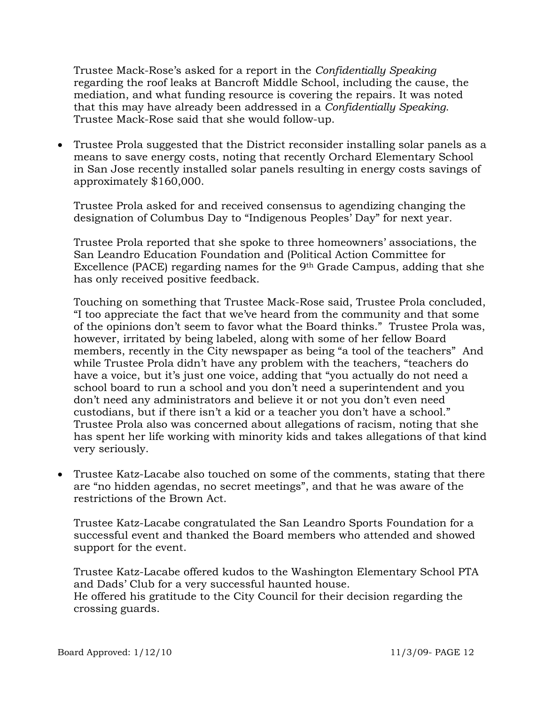Trustee Mack-Rose's asked for a report in the *Confidentially Speaking* regarding the roof leaks at Bancroft Middle School, including the cause, the mediation, and what funding resource is covering the repairs. It was noted that this may have already been addressed in a *Confidentially Speaking*. Trustee Mack-Rose said that she would follow-up.

• Trustee Prola suggested that the District reconsider installing solar panels as a means to save energy costs, noting that recently Orchard Elementary School in San Jose recently installed solar panels resulting in energy costs savings of approximately \$160,000.

Trustee Prola asked for and received consensus to agendizing changing the designation of Columbus Day to "Indigenous Peoples' Day" for next year.

Trustee Prola reported that she spoke to three homeowners' associations, the San Leandro Education Foundation and (Political Action Committee for Excellence (PACE) regarding names for the 9th Grade Campus, adding that she has only received positive feedback.

Touching on something that Trustee Mack-Rose said, Trustee Prola concluded, "I too appreciate the fact that we've heard from the community and that some of the opinions don't seem to favor what the Board thinks." Trustee Prola was, however, irritated by being labeled, along with some of her fellow Board members, recently in the City newspaper as being "a tool of the teachers" And while Trustee Prola didn't have any problem with the teachers, "teachers do have a voice, but it's just one voice, adding that "you actually do not need a school board to run a school and you don't need a superintendent and you don't need any administrators and believe it or not you don't even need custodians, but if there isn't a kid or a teacher you don't have a school." Trustee Prola also was concerned about allegations of racism, noting that she has spent her life working with minority kids and takes allegations of that kind very seriously.

• Trustee Katz-Lacabe also touched on some of the comments, stating that there are "no hidden agendas, no secret meetings", and that he was aware of the restrictions of the Brown Act.

Trustee Katz-Lacabe congratulated the San Leandro Sports Foundation for a successful event and thanked the Board members who attended and showed support for the event.

Trustee Katz-Lacabe offered kudos to the Washington Elementary School PTA and Dads' Club for a very successful haunted house. He offered his gratitude to the City Council for their decision regarding the crossing guards.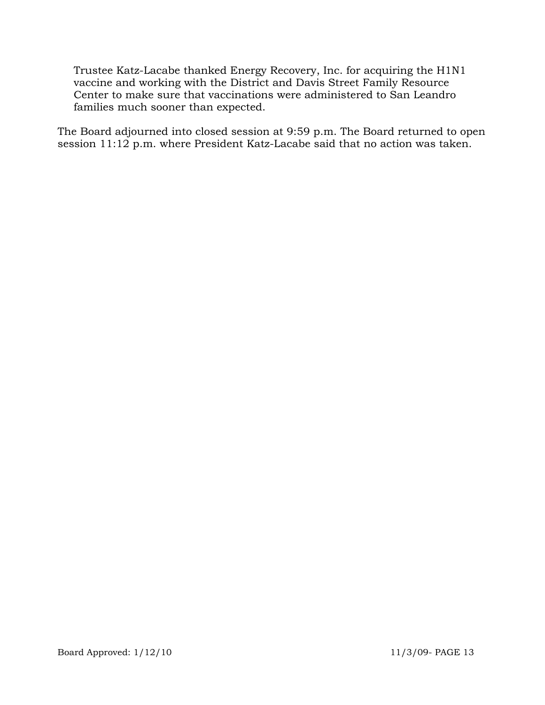Trustee Katz-Lacabe thanked Energy Recovery, Inc. for acquiring the H1N1 vaccine and working with the District and Davis Street Family Resource Center to make sure that vaccinations were administered to San Leandro families much sooner than expected.

The Board adjourned into closed session at 9:59 p.m. The Board returned to open session 11:12 p.m. where President Katz-Lacabe said that no action was taken.